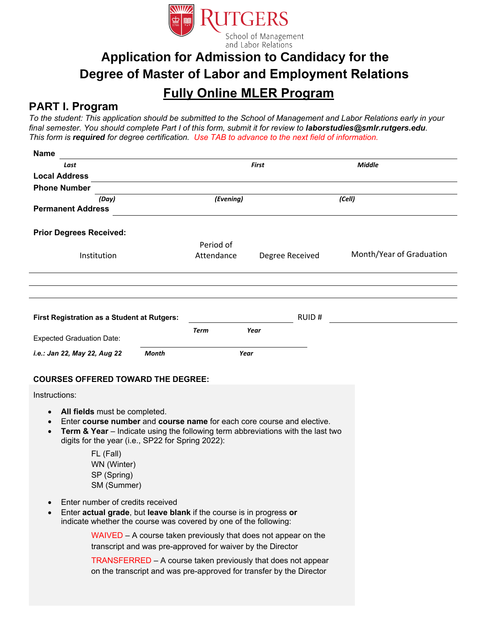

# **Application for Admission to Candidacy for the Degree of Master of Labor and Employment Relations**

## **Fully Online MLER Program**

### **PART I. Program**

*To the student: This application should be submitted to the School of Management and Labor Relations early in your final semester. You should complete Part I of this form, submit it for review to laborstudie[s@smlr.rutgers.edu](mailto:laborstudies@smlr.rutgers.edu). This form is required for degree certification. Use TAB to advance to the next field of information.*

| <b>Name</b>                                                                                                  |              |                         |                                                                                                                                                           |                          |
|--------------------------------------------------------------------------------------------------------------|--------------|-------------------------|-----------------------------------------------------------------------------------------------------------------------------------------------------------|--------------------------|
| Last                                                                                                         |              |                         | <b>First</b>                                                                                                                                              | <b>Middle</b>            |
| <b>Local Address</b>                                                                                         |              |                         |                                                                                                                                                           |                          |
| <b>Phone Number</b>                                                                                          |              |                         |                                                                                                                                                           |                          |
| (Day)<br><b>Permanent Address</b>                                                                            |              | (Evening)               |                                                                                                                                                           | (Cell)                   |
| <b>Prior Degrees Received:</b>                                                                               |              |                         |                                                                                                                                                           |                          |
| Institution                                                                                                  |              | Period of<br>Attendance | Degree Received                                                                                                                                           | Month/Year of Graduation |
|                                                                                                              |              |                         |                                                                                                                                                           |                          |
|                                                                                                              |              |                         |                                                                                                                                                           |                          |
| <b>First Registration as a Student at Rutgers:</b>                                                           |              |                         | <b>RUID#</b>                                                                                                                                              |                          |
| <b>Expected Graduation Date:</b>                                                                             |              | Term                    | Year                                                                                                                                                      |                          |
| i.e.: Jan 22, May 22, Aug 22                                                                                 | <b>Month</b> | Year                    |                                                                                                                                                           |                          |
| <b>COURSES OFFERED TOWARD THE DEGREE:</b>                                                                    |              |                         |                                                                                                                                                           |                          |
| Instructions:                                                                                                |              |                         |                                                                                                                                                           |                          |
| All fields must be completed.<br>$\bullet$<br>$\bullet$<br>digits for the year (i.e., SP22 for Spring 2022): |              |                         | Enter course number and course name for each core course and elective.<br>Term & Year - Indicate using the following term abbreviations with the last two |                          |
| FL (Fall)<br>WN (Winter)<br>SP (Spring)<br>SM (Summer)                                                       |              |                         |                                                                                                                                                           |                          |

- Enter number of credits received
- Enter **actual grade**, but **leave blank** if the course is in progress **or** indicate whether the course was covered by one of the following:

WAIVED – A course taken previously that does not appear on the transcript and was pre-approved for waiver by the Director

TRANSFERRED – A course taken previously that does not appear on the transcript and was pre-approved for transfer by the Director